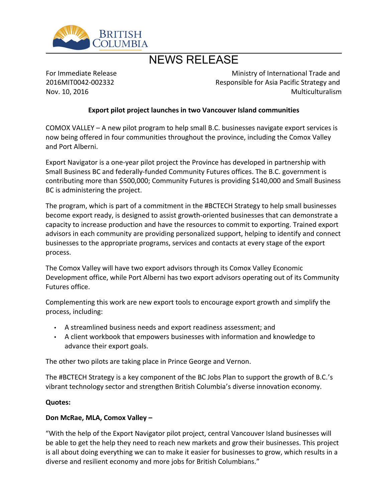

# NEWS RELEASE

For Immediate Release 2016MIT0042-002332 Nov. 10, 2016

Ministry of International Trade and Responsible for Asia Pacific Strategy and Multiculturalism

#### **Export pilot project launches in two Vancouver Island communities**

COMOX VALLEY  $-$  A new pilot program to help small B.C. businesses navigate export services is now being offered in four communities throughout the province, including the Comox Valley and Port Alberni.

Export Navigator is a one-year pilot project the Province has developed in partnership with Small Business BC and federally-funded Community Futures offices. The B.C. government is contributing more than \$500,000; Community Futures is providing \$140,000 and Small Business BC is administering the project.

The program, which is part of a commitment in the #BCTECH Strategy to help small businesses become export ready, is designed to assist growth-oriented businesses that can demonstrate a capacity to increase production and have the resources to commit to exporting. Trained export advisors in each community are providing personalized support, helping to identify and connect businesses to the appropriate programs, services and contacts at every stage of the export process.

The Comox Valley will have two export advisors through its Comox Valley Economic Development office, while Port Alberni has two export advisors operating out of its Community Futures office.

Complementing this work are new export tools to encourage export growth and simplify the process, including:

- A streamlined business needs and export readiness assessment; and
- A client workbook that empowers businesses with information and knowledge to advance their export goals.

The other two pilots are taking place in Prince George and Vernon.

The #BCTECH Strategy is a key component of the BC Jobs Plan to support the growth of B.C.'s vibrant technology sector and strengthen British Columbia's diverse innovation economy.

#### **Quotes:**

### **Don McRae, MLA, Comox Valley -**

͞With the help of the Export Navigator pilot project, central Vancouver Island businesses will be able to get the help they need to reach new markets and grow their businesses. This project is all about doing everything we can to make it easier for businesses to grow, which results in a diverse and resilient economy and more jobs for British Columbians.<sup>"</sup>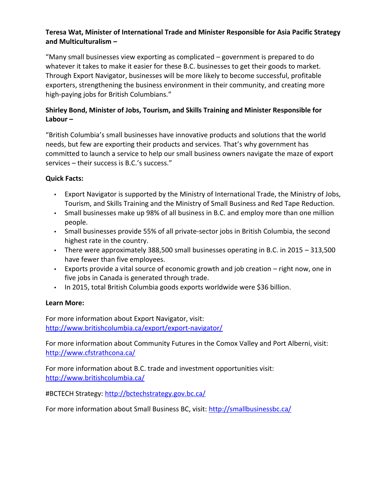### **Teresa Wat, Minister of International Trade and Minister Responsible for Asia Pacific Strategy and Multiculturalism ʹ**

"Many small businesses view exporting as complicated  $-$  government is prepared to do whatever it takes to make it easier for these B.C. businesses to get their goods to market. Through Export Navigator, businesses will be more likely to become successful, profitable exporters, strengthening the business environment in their community, and creating more high-paying jobs for British Columbians.<sup>"</sup>

## **Shirley Bond, Minister of Jobs, Tourism, and Skills Training and Minister Responsible for Labour** –

͞British Columbia͛s small businesses have innovative products and solutions that the world needs, but few are exporting their products and services. That's why government has committed to launch a service to help our small business owners navigate the maze of export services – their success is B.C.'s success."

### **Quick Facts:**

- Export Navigator is supported by the Ministry of International Trade, the Ministry of Jobs, Tourism, and Skills Training and the Ministry of Small Business and Red Tape Reduction.
- Small businesses make up 98% of all business in B.C. and employ more than one million people.
- Small businesses provide 55% of all private-sector jobs in British Columbia, the second highest rate in the country.
- There were approximately 388,500 small businesses operating in B.C. in 2015  $-$  313,500 have fewer than five employees.
- Exports provide a vital source of economic growth and job creation right now, one in five jobs in Canada is generated through trade.
- $\cdot$  In 2015, total British Columbia goods exports worldwide were \$36 billion.

### **Learn More:**

For more information about Export Navigator, visit: <http://www.britishcolumbia.ca/export/export-navigator/>

For more information about Community Futures in the Comox Valley and Port Alberni, visit: <http://www.cfstrathcona.ca/>

For more information about B.C. trade and investment opportunities visit: <http://www.britishcolumbia.ca/>

#BCTECH Strategy: <http://bctechstrategy.gov.bc.ca/>

For more information about Small Business BC, visit: <http://smallbusinessbc.ca/>